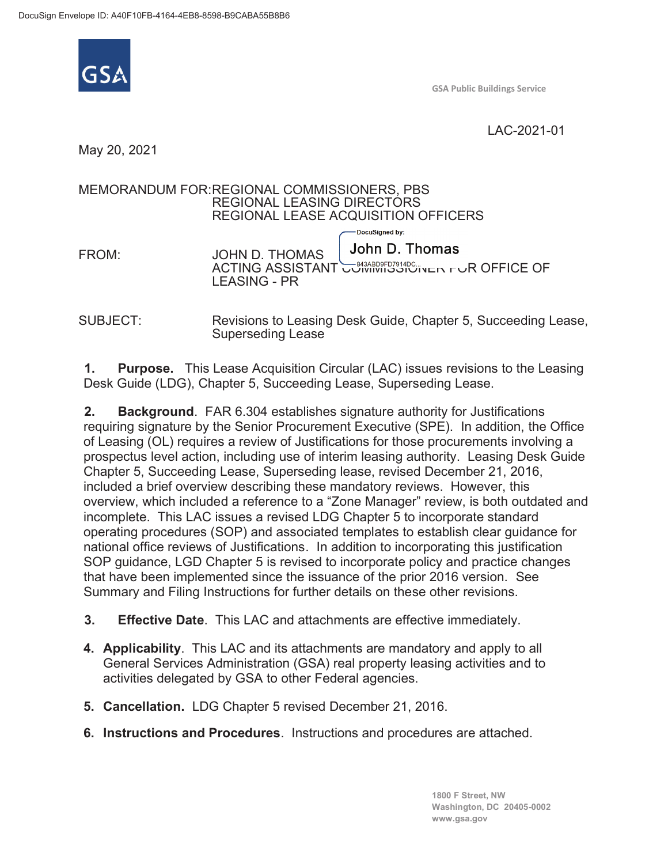

**GSA Public Buildings Service**

LAC-2021-01

May 20, 2021

## MEMORANDUM FOR: REGIONAL COMMISSIONERS, PBS REGIONAL LEASING DIRECTORS REGIONAL LEASE ACQUISITION OFFICERS DocuSigned by: John D. Thomas FROM: JOHN D. THOMAS **ACTING ASSISTANT COMMISSIONER FOR OFFICE OF** LEASING - PR

SUBJECT: Revisions to Leasing Desk Guide, Chapter 5, Succeeding Lease, Superseding Lease

**1. Purpose.** This Lease Acquisition Circular (LAC) issues revisions to the Leasing Desk Guide (LDG), Chapter 5, Succeeding Lease, Superseding Lease.

**2. Background**. FAR 6.304 establishes signature authority for Justifications requiring signature by the Senior Procurement Executive (SPE). In addition, the Office of Leasing (OL) requires a review of Justifications for those procurements involving a prospectus level action, including use of interim leasing authority. Leasing Desk Guide Chapter 5, Succeeding Lease, Superseding lease, revised December 21, 2016, included a brief overview describing these mandatory reviews. However, this overview, which included a reference to a "Zone Manager" review, is both outdated and incomplete. This LAC issues a revised LDG Chapter 5 to incorporate standard operating procedures (SOP) and associated templates to establish clear guidance for national office reviews of Justifications. In addition to incorporating this justification SOP guidance, LGD Chapter 5 is revised to incorporate policy and practice changes that have been implemented since the issuance of the prior 2016 version. See Summary and Filing Instructions for further details on these other revisions.

- **3. Effective Date**. This LAC and attachments are effective immediately.
- **4. Applicability**. This LAC and its attachments are mandatory and apply to all General Services Administration (GSA) real property leasing activities and to activities delegated by GSA to other Federal agencies.
- **5. Cancellation.** LDG Chapter 5 revised December 21, 2016.
- **6. Instructions and Procedures**. Instructions and procedures are attached.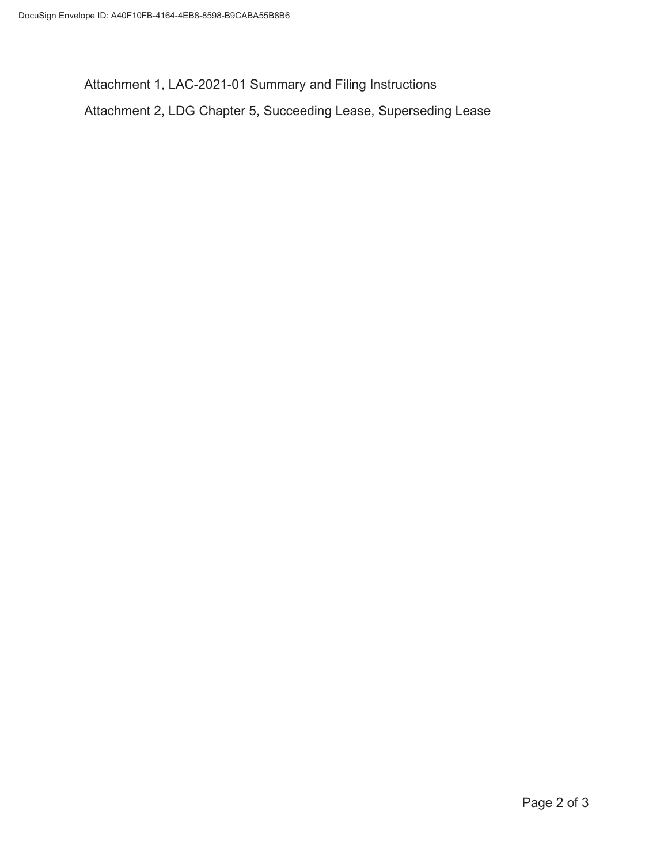Attachment 1, LAC-2021-01 Summary and Filing Instructions Attachment 2, LDG Chapter 5, Succeeding Lease, Superseding Lease